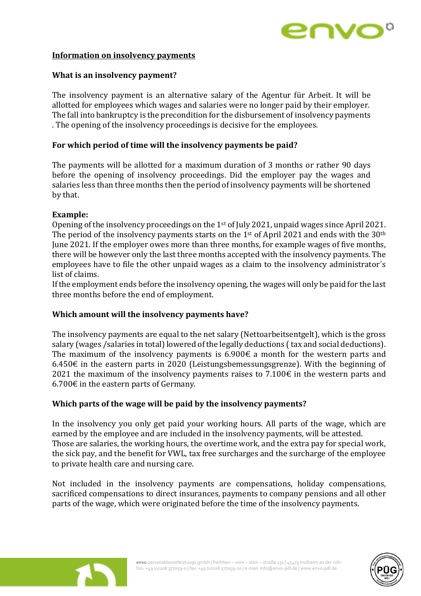

## **Information on insolvency payments**

# **What is an insolvency payment?**

The insolvency payment is an alternative salary of the Agentur für Arbeit. It will be allotted for employees which wages and salaries were no longer paid by their employer. The fall into bankruptcy is the precondition for the disbursement of insolvency payments . The opening of the insolvency proceedings is decisive for the employees.

# **For which period of time will the insolvency payments be paid?**

The payments will be allotted for a maximum duration of 3 months or rather 90 days before the opening of insolvency proceedings. Did the employer pay the wages and salaries less than three months then the period of insolvency payments will be shortened by that.

## **Example:**

Opening of the insolvency proceedings on the 1st of July 2021, unpaid wages since April 2021. The period of the insolvency payments starts on the  $1<sup>st</sup>$  of April 2021 and ends with the 30<sup>th</sup> June 2021. If the employer owes more than three months, for example wages of five months, there will be however only the last three months accepted with the insolvency payments. The employees have to file the other unpaid wages as a claim to the insolvency administrator´s list of claims.

If the employment ends before the insolvency opening, the wages will only be paid for the last three months before the end of employment.

# **Which amount will the insolvency payments have?**

The insolvency payments are equal to the net salary (Nettoarbeitsentgelt), which is the gross salary (wages /salaries in total) lowered of the legally deductions ( tax and social deductions). The maximum of the insolvency payments is  $6.900\epsilon$  a month for the western parts and 6.450€ in the eastern parts in 2020 (Leistungsbemessungsgrenze). With the beginning of 2021 the maximum of the insolvency payments raises to  $7.100\epsilon$  in the western parts and  $6.700 \text{ } \in$  in the eastern parts of Germany.

# **Which parts of the wage will be paid by the insolvency payments?**

In the insolvency you only get paid your working hours. All parts of the wage, which are earned by the employee and are included in the insolvency payments, will be attested. Those are salaries, the working hours, the overtime work, and the extra pay for special work, the sick pay, and the benefit for VWL, tax free surcharges and the surcharge of the employee to private health care and nursing care.

Not included in the insolvency payments are compensations, holiday compensations, sacrificed compensations to direct insurances, payments to company pensions and all other parts of the wage, which were originated before the time of the insolvency payments.